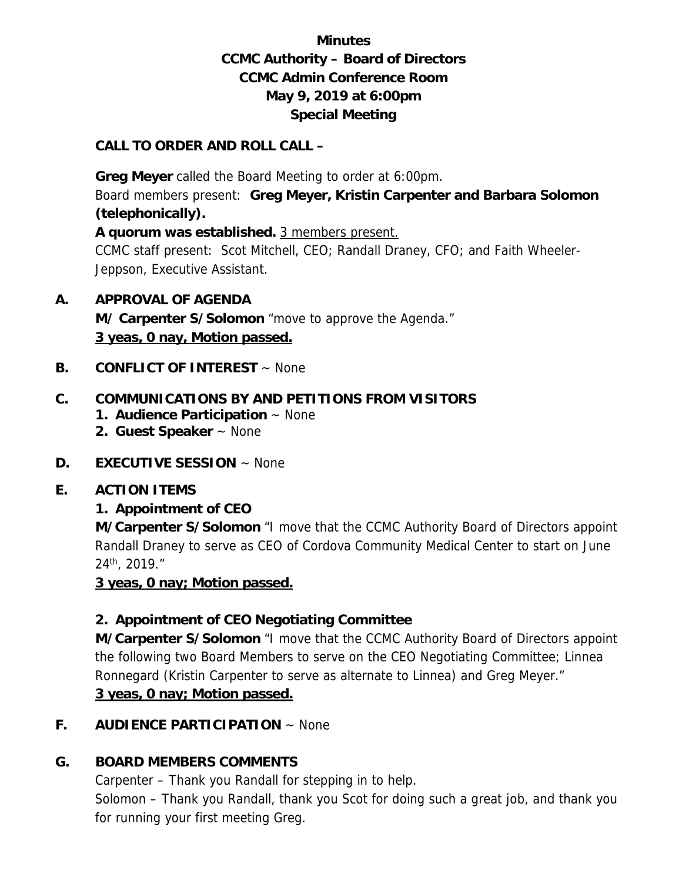# **Minutes CCMC Authority – Board of Directors CCMC Admin Conference Room May 9, 2019 at 6:00pm Special Meeting**

### **CALL TO ORDER AND ROLL CALL –**

 **Greg Meyer** called the Board Meeting to order at 6:00pm. Board members present: **Greg Meyer, Kristin Carpenter and Barbara Solomon (telephonically).** 

**A quorum was established.** 3 members present.

CCMC staff present: Scot Mitchell, CEO; Randall Draney, CFO; and Faith Wheeler-Jeppson, Executive Assistant.

## **A. APPROVAL OF AGENDA**

 **M/ Carpenter S/Solomon** "move to approve the Agenda." **3 yeas, 0 nay, Motion passed.** 

**B. CONFLICT OF INTEREST** ~ None

## **C. COMMUNICATIONS BY AND PETITIONS FROM VISITORS**

- **1. Audience Participation** ~ None
- **2. Guest Speaker** ~ None
- **D. EXECUTIVE SESSION** ~ None

#### **E. ACTION ITEMS**

## **1. Appointment of CEO**

**M/Carpenter S/Solomon** "I move that the CCMC Authority Board of Directors appoint Randall Draney to serve as CEO of Cordova Community Medical Center to start on June 24th, 2019."

#### **3 yeas, 0 nay; Motion passed.**

## **2. Appointment of CEO Negotiating Committee**

**M/Carpenter S/Solomon** "I move that the CCMC Authority Board of Directors appoint the following two Board Members to serve on the CEO Negotiating Committee; Linnea Ronnegard (Kristin Carpenter to serve as alternate to Linnea) and Greg Meyer."

#### **3 yeas, 0 nay; Motion passed.**

### **F. AUDIENCE PARTICIPATION** ~ None

## **G. BOARD MEMBERS COMMENTS**

Carpenter – Thank you Randall for stepping in to help.

Solomon – Thank you Randall, thank you Scot for doing such a great job, and thank you for running your first meeting Greg.